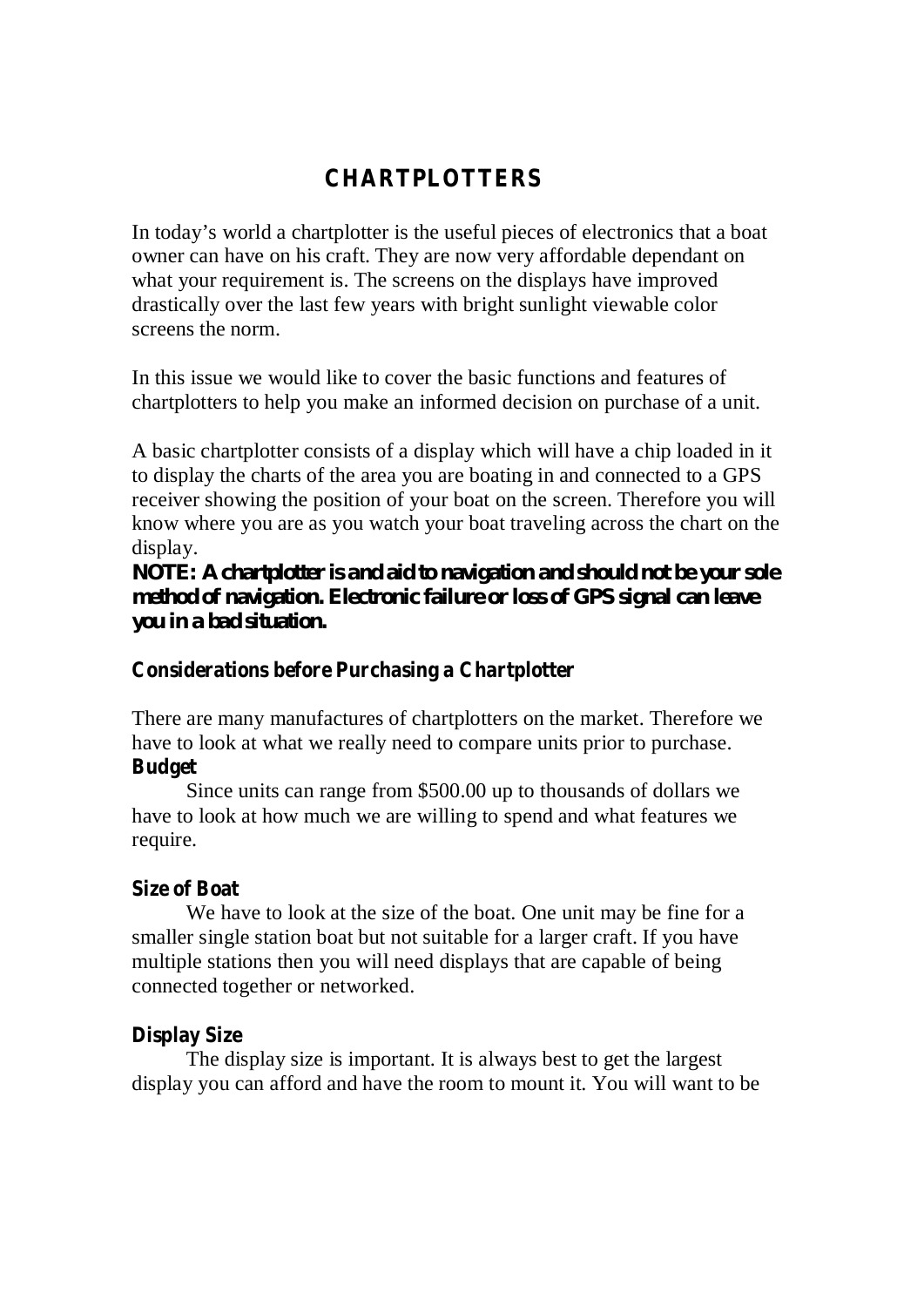# **CHARTPLOTTERS**

In today's world a chartplotter is the useful pieces of electronics that a boat owner can have on his craft. They are now very affordable dependant on what your requirement is. The screens on the displays have improved drastically over the last few years with bright sunlight viewable color screens the norm.

In this issue we would like to cover the basic functions and features of chartplotters to help you make an informed decision on purchase of a unit.

A basic chartplotter consists of a display which will have a chip loaded in it to display the charts of the area you are boating in and connected to a GPS receiver showing the position of your boat on the screen. Therefore you will know where you are as you watch your boat traveling across the chart on the display.

*NOTE: A chartplotter is and aid to navigation and should not be your sole method of navigation. Electronic failure or loss of GPS signal can leave you in a bad situation.*

## **Considerations before Purchasing a Chartplotter**

There are many manufactures of chartplotters on the market. Therefore we have to look at what we really need to compare units prior to purchase. **Budget**

Since units can range from \$500.00 up to thousands of dollars we have to look at how much we are willing to spend and what features we require.

### **Size of Boat**

We have to look at the size of the boat. One unit may be fine for a smaller single station boat but not suitable for a larger craft. If you have multiple stations then you will need displays that are capable of being connected together or networked.

## **Display Size**

The display size is important. It is always best to get the largest display you can afford and have the room to mount it. You will want to be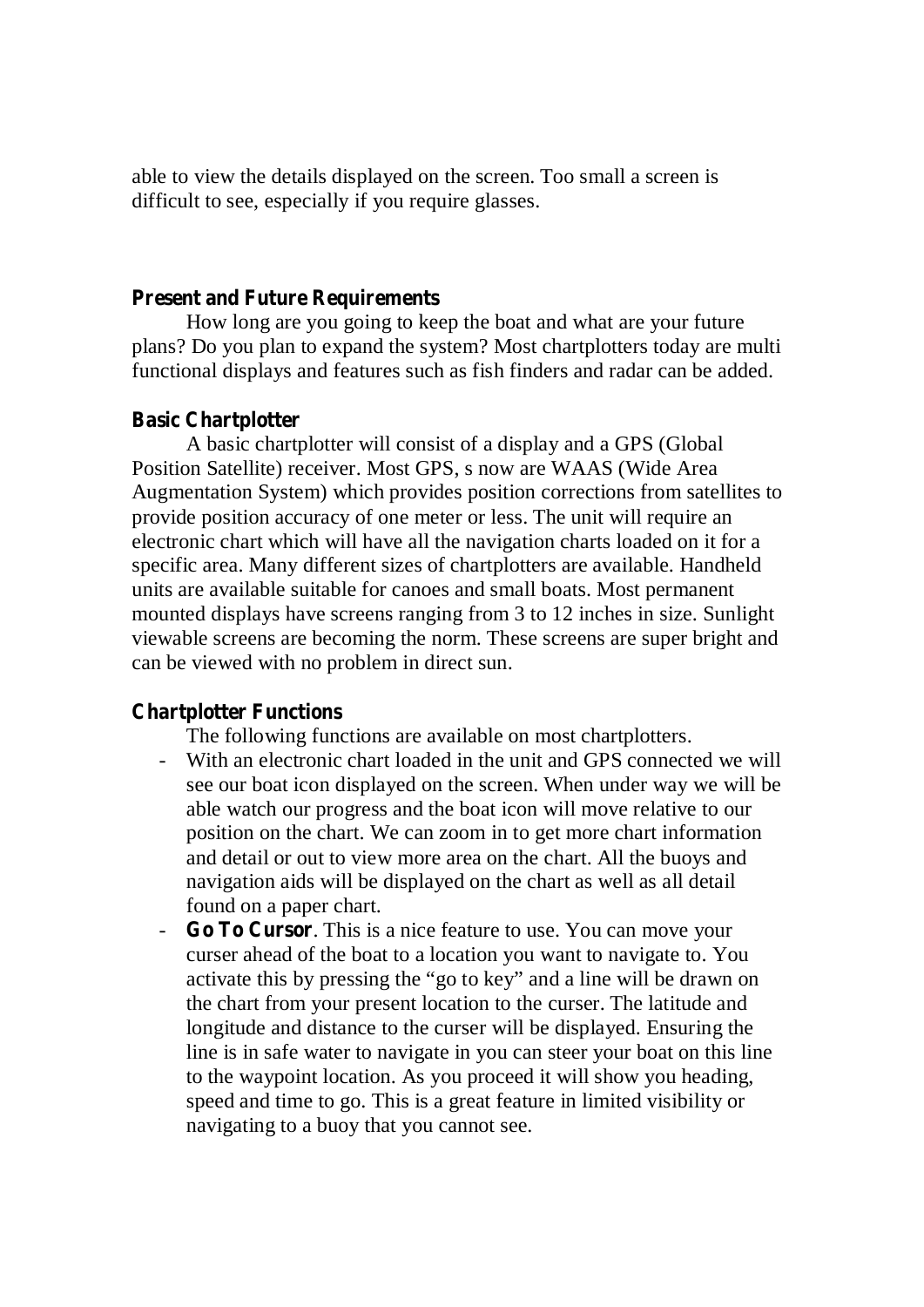able to view the details displayed on the screen. Too small a screen is difficult to see, especially if you require glasses.

#### **Present and Future Requirements**

How long are you going to keep the boat and what are your future plans? Do you plan to expand the system? Most chartplotters today are multi functional displays and features such as fish finders and radar can be added.

#### **Basic Chartplotter**

A basic chartplotter will consist of a display and a GPS (Global Position Satellite) receiver. Most GPS, s now are WAAS (Wide Area Augmentation System) which provides position corrections from satellites to provide position accuracy of one meter or less. The unit will require an electronic chart which will have all the navigation charts loaded on it for a specific area. Many different sizes of chartplotters are available. Handheld units are available suitable for canoes and small boats. Most permanent mounted displays have screens ranging from 3 to 12 inches in size. Sunlight viewable screens are becoming the norm. These screens are super bright and can be viewed with no problem in direct sun.

#### **Chartplotter Functions**

The following functions are available on most chartplotters.

- With an electronic chart loaded in the unit and GPS connected we will see our boat icon displayed on the screen. When under way we will be able watch our progress and the boat icon will move relative to our position on the chart. We can zoom in to get more chart information and detail or out to view more area on the chart. All the buoys and navigation aids will be displayed on the chart as well as all detail found on a paper chart.
- **Go To Cursor**. This is a nice feature to use. You can move your curser ahead of the boat to a location you want to navigate to. You activate this by pressing the "go to key" and a line will be drawn on the chart from your present location to the curser. The latitude and longitude and distance to the curser will be displayed. Ensuring the line is in safe water to navigate in you can steer your boat on this line to the waypoint location. As you proceed it will show you heading, speed and time to go. This is a great feature in limited visibility or navigating to a buoy that you cannot see.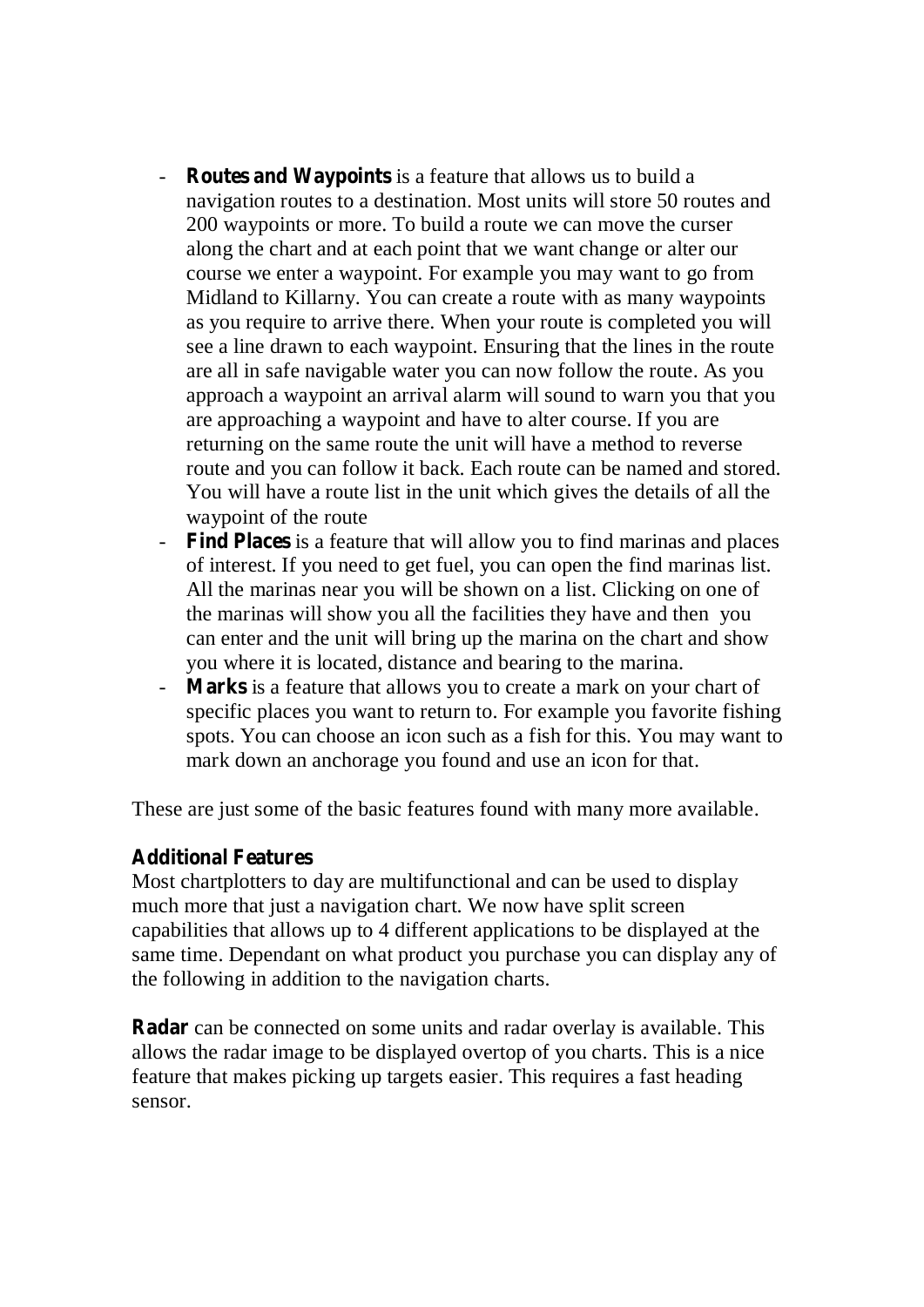- **Routes and Waypoints** is a feature that allows us to build a navigation routes to a destination. Most units will store 50 routes and 200 waypoints or more. To build a route we can move the curser along the chart and at each point that we want change or alter our course we enter a waypoint. For example you may want to go from Midland to Killarny. You can create a route with as many waypoints as you require to arrive there. When your route is completed you will see a line drawn to each waypoint. Ensuring that the lines in the route are all in safe navigable water you can now follow the route. As you approach a waypoint an arrival alarm will sound to warn you that you are approaching a waypoint and have to alter course. If you are returning on the same route the unit will have a method to reverse route and you can follow it back. Each route can be named and stored. You will have a route list in the unit which gives the details of all the waypoint of the route
- **Find Places** is a feature that will allow you to find marinas and places of interest. If you need to get fuel, you can open the find marinas list. All the marinas near you will be shown on a list. Clicking on one of the marinas will show you all the facilities they have and then you can enter and the unit will bring up the marina on the chart and show you where it is located, distance and bearing to the marina.
- **Marks** is a feature that allows you to create a mark on your chart of specific places you want to return to. For example you favorite fishing spots. You can choose an icon such as a fish for this. You may want to mark down an anchorage you found and use an icon for that.

These are just some of the basic features found with many more available.

### **Additional Features**

Most chartplotters to day are multifunctional and can be used to display much more that just a navigation chart. We now have split screen capabilities that allows up to 4 different applications to be displayed at the same time. Dependant on what product you purchase you can display any of the following in addition to the navigation charts.

**Radar** can be connected on some units and radar overlay is available. This allows the radar image to be displayed overtop of you charts. This is a nice feature that makes picking up targets easier. This requires a fast heading sensor.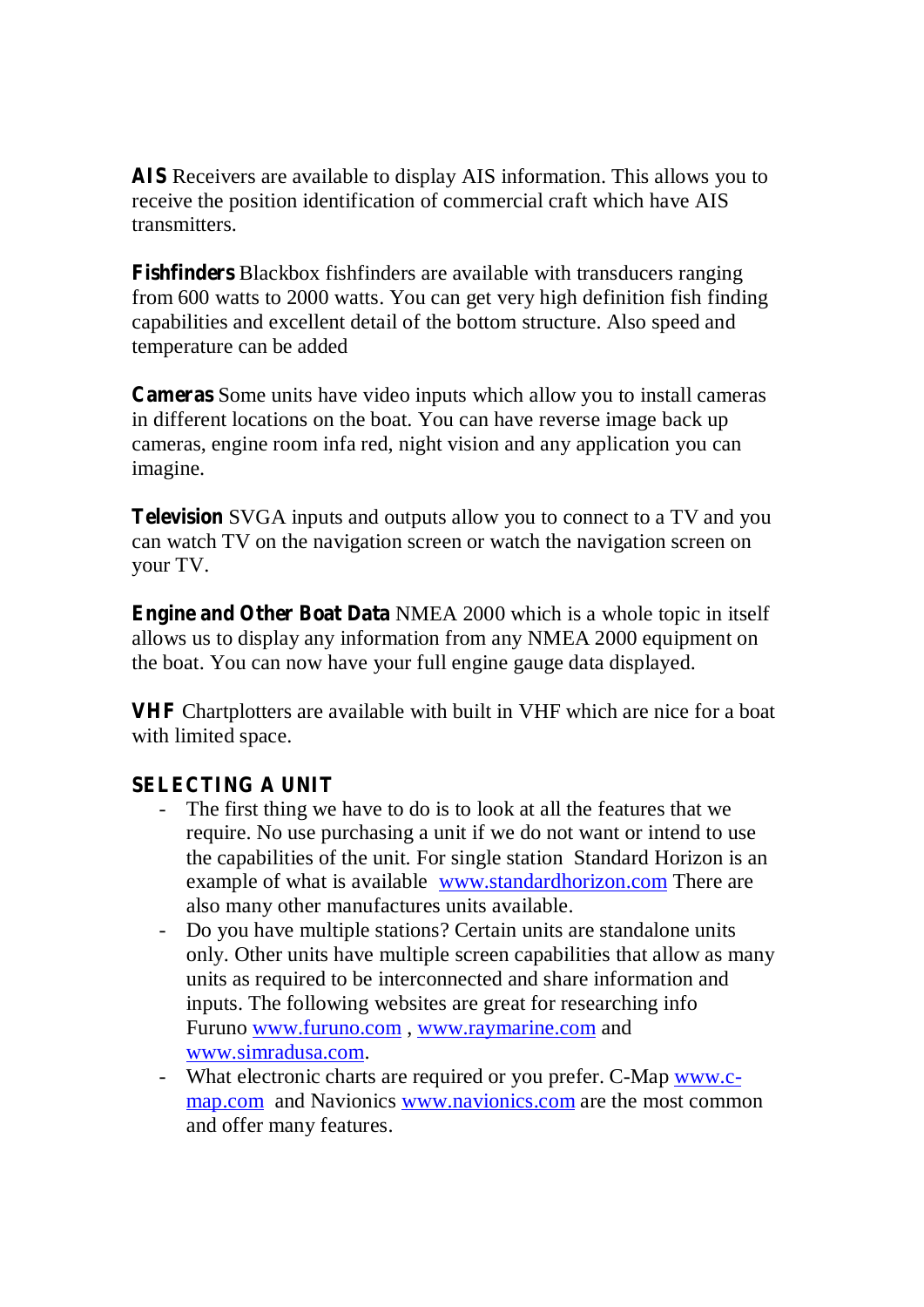**AIS** Receivers are available to display AIS information. This allows you to receive the position identification of commercial craft which have AIS transmitters.

**Fishfinders** Blackbox fishfinders are available with transducers ranging from 600 watts to 2000 watts. You can get very high definition fish finding capabilities and excellent detail of the bottom structure. Also speed and temperature can be added

**Cameras** Some units have video inputs which allow you to install cameras in different locations on the boat. You can have reverse image back up cameras, engine room infa red, night vision and any application you can imagine.

**Television** SVGA inputs and outputs allow you to connect to a TV and you can watch TV on the navigation screen or watch the navigation screen on your TV.

**Engine and Other Boat Data** NMEA 2000 which is a whole topic in itself allows us to display any information from any NMEA 2000 equipment on the boat. You can now have your full engine gauge data displayed.

**VHF** Chartplotters are available with built in VHF which are nice for a boat with limited space.

# **SELECTING A UNIT**

- The first thing we have to do is to look at all the features that we require. No use purchasing a unit if we do not want or intend to use the capabilities of the unit. For single station Standard Horizon is an example of what is available [www.standardhorizon.com](http://www.standardhorizon.com) There are also many other manufactures units available.
- Do you have multiple stations? Certain units are standalone units only. Other units have multiple screen capabilities that allow as many units as required to be interconnected and share information and inputs. The following websites are great for researching info Furuno www.furuno.com , [www.raymarine.com](http://www.furuno.com,www.raymarine.comand) and [www.simradusa.com.](http://www.simradusa.com.)
- What [electronic](http://www.c-map.c) charts are required or you prefer. C-Map www.cmap.com and Navionics [www.navionics.com](http://www.navionics.com) are the most common and offer many features.